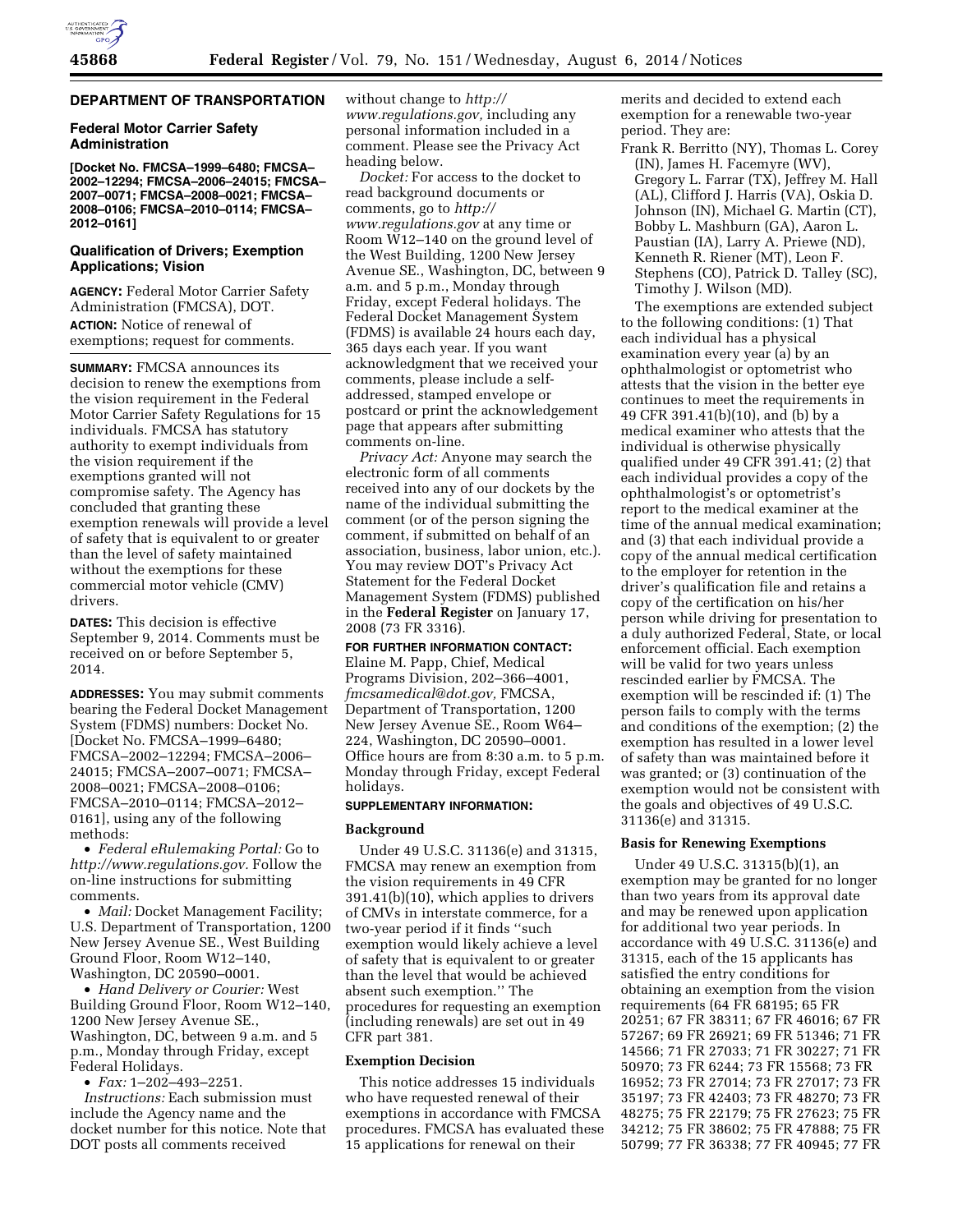# **DEPARTMENT OF TRANSPORTATION**

### **Federal Motor Carrier Safety Administration**

**[Docket No. FMCSA–1999–6480; FMCSA– 2002–12294; FMCSA–2006–24015; FMCSA– 2007–0071; FMCSA–2008–0021; FMCSA– 2008–0106; FMCSA–2010–0114; FMCSA– 2012–0161]** 

# **Qualification of Drivers; Exemption Applications; Vision**

**AGENCY:** Federal Motor Carrier Safety Administration (FMCSA), DOT.

**ACTION:** Notice of renewal of exemptions; request for comments.

**SUMMARY:** FMCSA announces its decision to renew the exemptions from the vision requirement in the Federal Motor Carrier Safety Regulations for 15 individuals. FMCSA has statutory authority to exempt individuals from the vision requirement if the exemptions granted will not compromise safety. The Agency has concluded that granting these exemption renewals will provide a level of safety that is equivalent to or greater than the level of safety maintained without the exemptions for these commercial motor vehicle (CMV) drivers.

**DATES:** This decision is effective September 9, 2014. Comments must be received on or before September 5, 2014.

**ADDRESSES:** You may submit comments bearing the Federal Docket Management System (FDMS) numbers: Docket No. [Docket No. FMCSA–1999–6480; FMCSA–2002–12294; FMCSA–2006– 24015; FMCSA–2007–0071; FMCSA– 2008–0021; FMCSA–2008–0106; FMCSA–2010–0114; FMCSA–2012– 0161], using any of the following methods:

• *Federal eRulemaking Portal:* Go to *[http://www.regulations.gov.](http://www.regulations.gov)* Follow the on-line instructions for submitting comments.

• *Mail:* Docket Management Facility; U.S. Department of Transportation, 1200 New Jersey Avenue SE., West Building Ground Floor, Room W12–140, Washington, DC 20590–0001.

• *Hand Delivery or Courier:* West Building Ground Floor, Room W12–140, 1200 New Jersey Avenue SE., Washington, DC, between 9 a.m. and 5 p.m., Monday through Friday, except Federal Holidays.

• *Fax:* 1–202–493–2251.

*Instructions:* Each submission must include the Agency name and the docket number for this notice. Note that DOT posts all comments received

without change to *[http://](http://www.regulations.gov) [www.regulations.gov,](http://www.regulations.gov)* including any personal information included in a comment. Please see the Privacy Act heading below.

*Docket:* For access to the docket to read background documents or comments, go to *[http://](http://www.regulations.gov) [www.regulations.gov](http://www.regulations.gov)* at any time or Room W12–140 on the ground level of the West Building, 1200 New Jersey Avenue SE., Washington, DC, between 9 a.m. and 5 p.m., Monday through Friday, except Federal holidays. The Federal Docket Management System (FDMS) is available 24 hours each day, 365 days each year. If you want acknowledgment that we received your comments, please include a selfaddressed, stamped envelope or postcard or print the acknowledgement page that appears after submitting comments on-line.

*Privacy Act:* Anyone may search the electronic form of all comments received into any of our dockets by the name of the individual submitting the comment (or of the person signing the comment, if submitted on behalf of an association, business, labor union, etc.). You may review DOT's Privacy Act Statement for the Federal Docket Management System (FDMS) published in the **Federal Register** on January 17, 2008 (73 FR 3316).

### **FOR FURTHER INFORMATION CONTACT:**

Elaine M. Papp, Chief, Medical Programs Division, 202–366–4001, *[fmcsamedical@dot.gov,](mailto:fmcsamedical@dot.gov)* FMCSA, Department of Transportation, 1200 New Jersey Avenue SE., Room W64– 224, Washington, DC 20590–0001. Office hours are from 8:30 a.m. to 5 p.m. Monday through Friday, except Federal holidays.

# **SUPPLEMENTARY INFORMATION:**

#### **Background**

Under 49 U.S.C. 31136(e) and 31315, FMCSA may renew an exemption from the vision requirements in 49 CFR 391.41(b)(10), which applies to drivers of CMVs in interstate commerce, for a two-year period if it finds ''such exemption would likely achieve a level of safety that is equivalent to or greater than the level that would be achieved absent such exemption.'' The procedures for requesting an exemption (including renewals) are set out in 49 CFR part 381.

#### **Exemption Decision**

This notice addresses 15 individuals who have requested renewal of their exemptions in accordance with FMCSA procedures. FMCSA has evaluated these 15 applications for renewal on their

merits and decided to extend each exemption for a renewable two-year period. They are:

Frank R. Berritto (NY), Thomas L. Corey (IN), James H. Facemyre (WV), Gregory L. Farrar (TX), Jeffrey M. Hall (AL), Clifford J. Harris (VA), Oskia D. Johnson (IN), Michael G. Martin (CT), Bobby L. Mashburn (GA), Aaron L. Paustian (IA), Larry A. Priewe (ND), Kenneth R. Riener (MT), Leon F. Stephens (CO), Patrick D. Talley (SC), Timothy J. Wilson (MD).

The exemptions are extended subject to the following conditions: (1) That each individual has a physical examination every year (a) by an ophthalmologist or optometrist who attests that the vision in the better eye continues to meet the requirements in 49 CFR 391.41(b)(10), and (b) by a medical examiner who attests that the individual is otherwise physically qualified under 49 CFR 391.41; (2) that each individual provides a copy of the ophthalmologist's or optometrist's report to the medical examiner at the time of the annual medical examination; and (3) that each individual provide a copy of the annual medical certification to the employer for retention in the driver's qualification file and retains a copy of the certification on his/her person while driving for presentation to a duly authorized Federal, State, or local enforcement official. Each exemption will be valid for two years unless rescinded earlier by FMCSA. The exemption will be rescinded if: (1) The person fails to comply with the terms and conditions of the exemption; (2) the exemption has resulted in a lower level of safety than was maintained before it was granted; or (3) continuation of the exemption would not be consistent with the goals and objectives of 49 U.S.C. 31136(e) and 31315.

# **Basis for Renewing Exemptions**

Under 49 U.S.C. 31315(b)(1), an exemption may be granted for no longer than two years from its approval date and may be renewed upon application for additional two year periods. In accordance with 49 U.S.C. 31136(e) and 31315, each of the 15 applicants has satisfied the entry conditions for obtaining an exemption from the vision requirements (64 FR 68195; 65 FR 20251; 67 FR 38311; 67 FR 46016; 67 FR 57267; 69 FR 26921; 69 FR 51346; 71 FR 14566; 71 FR 27033; 71 FR 30227; 71 FR 50970; 73 FR 6244; 73 FR 15568; 73 FR 16952; 73 FR 27014; 73 FR 27017; 73 FR 35197; 73 FR 42403; 73 FR 48270; 73 FR 48275; 75 FR 22179; 75 FR 27623; 75 FR 34212; 75 FR 38602; 75 FR 47888; 75 FR 50799; 77 FR 36338; 77 FR 40945; 77 FR